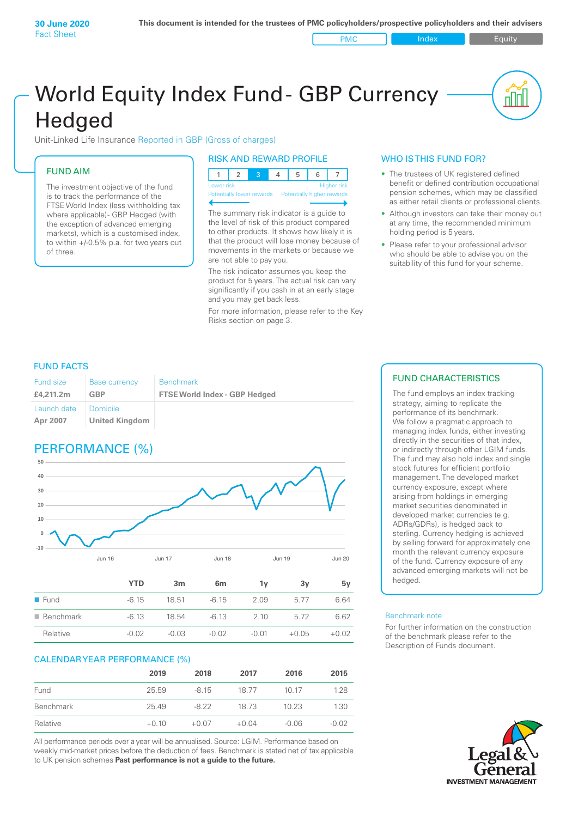PMC Index PMC Equity

# World Equity Index Fund- GBP Currency **Hedged**

Unit-Linked Life Insurance Reported in GBP (Gross of charges)

# FUND AIM

The investment objective of the fund is to track the performance of the FTSE World Index (less withholding tax where applicable) - GBP Hedged (with the exception of advanced emerging markets), which is a customised index, to within +/‑0.5% p.a. for two years out of three.

# RISK AND REWARD PROFILE

| Lower risk |  |  | <b>Higher risk</b> |
|------------|--|--|--------------------|

ntially lower rewards

The summary risk indicator is a guide to the level of risk of this product compared to other products. It shows how likely it is that the product will lose money because of movements in the markets or because we are not able to pay you.

The risk indicator assumes you keep the product for 5 years. The actual risk can vary significantly if you cash in at an early stage and you may get back less.

For more information, please refer to the Key Risks section on page 3.

# WHO IS THIS FUND FOR?

- The trustees of UK registered defined benefit or defined contribution occupational pension schemes, which may be classified as either retail clients or professional clients.
- Although investors can take their money out at any time, the recommended minimum holding period is 5 years.
- Please refer to your professional advisor who should be able to advise you on the suitability of this fund for your scheme.

# FUND FACTS

| <b>Fund size</b>        | <b>Base currency</b>              | <b>Benchmark</b>                     |
|-------------------------|-----------------------------------|--------------------------------------|
| £4,211.2m               | GBP                               | <b>FTSE World Index - GBP Hedged</b> |
| Launch date<br>Apr 2007 | Domicile<br><b>United Kingdom</b> |                                      |

# PERFORMANCE (%)



|                          | YTD     | 3m      | 6m      | ٦v    | 3v      | 5v      |
|--------------------------|---------|---------|---------|-------|---------|---------|
| $\blacksquare$ Fund      | $-6.15$ | 18.51   | $-6.15$ | 2.09  | 5.77    | 6.64    |
| $\blacksquare$ Benchmark | $-6.13$ | 18.54   | $-6.13$ | 2 10  | 5.72    | 6.62    |
| Relative                 | $-0.02$ | $-0.03$ | $-0.02$ | -0.01 | $+0.05$ | $+0.02$ |

# CALENDAR YEAR PERFORMANCE (%)

|           | 2019    | 2018    | 2017    | 2016    | 2015    |
|-----------|---------|---------|---------|---------|---------|
| Fund      | 25.59   | $-8.15$ | 18.77   | 10 17   | 1.28    |
| Benchmark | 25.49   | $-8.22$ | 18 73   | 10.23   | 1.30    |
| Relative  | $+0.10$ | $+0.07$ | $+0.04$ | $-0.06$ | $-0.02$ |

All performance periods over a year will be annualised. Source: LGIM. Performance based on weekly mid-market prices before the deduction of fees. Benchmark is stated net of tax applicable to UK pension schemes **Past performance is not a guide to the future.**

# FUND CHARACTERISTICS

The fund employs an index tracking strategy, aiming to replicate the performance of its benchmark. We follow a pragmatic approach to managing index funds, either investing directly in the securities of that index, or indirectly through other LGIM funds. The fund may also hold index and single stock futures for efficient portfolio management. The developed market currency exposure, except where arising from holdings in emerging market securities denominated in developed market currencies (e.g. ADRs/GDRs), is hedged back to sterling. Currency hedging is achieved by selling forward for approximately one month the relevant currency exposure of the fund. Currency exposure of any advanced emerging markets will not be hedged.

#### Benchmark note

For further information on the construction of the benchmark please refer to the Description of Funds document.

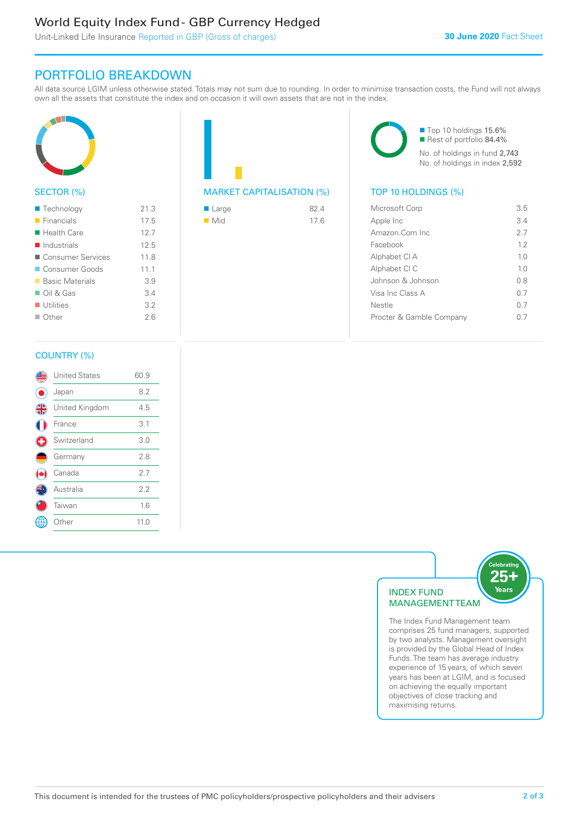# World Equity Index Fund - GBP Currency Hedged

Unit-Linked Life Insurance Reported in GBP (Gross of charges)

# PORTFOLIO BREAKDOWN

All data source LGIM unless otherwise stated. Totals may not sum due to rounding. In order to minimise transaction costs, the Fund will not always own all the assets that constitute the index and on occasion it will own assets that are not in the index.



# SECTOR (%)

| $\blacksquare$ Technology  | 21.3 |
|----------------------------|------|
| $\blacksquare$ Financials  | 17.5 |
| $\blacksquare$ Health Care | 12.7 |
| Industrials                | 12.5 |
| ■ Consumer Services        | 118  |
| Consumer Goods             | 11.1 |
| ■ Basic Materials          | 3.9  |
| $\Box$ Oil & Gas           | 3.4  |
| $\blacksquare$ Utilities   | 3.2  |
| $\Box$ Other               | 26   |
|                            |      |



| ■ Large            | 82.4 |
|--------------------|------|
| $\blacksquare$ Mid | 17.6 |

■ Top 10 holdings 15.6% Rest of portfolio 84.4% No. of holdings in fund 2,743 No. of holdings in index 2,592

| Microsoft Corp           | 35             |
|--------------------------|----------------|
| Apple Inc                | 3.4            |
| Amazon Com Inc           | 27             |
| Facebook                 | 12             |
| Alphabet CI A            | 10             |
| Alphabet CI C            | 1 <sub>0</sub> |
| Johnson & Johnson        | 0 S            |
| Visa Inc Class A         | 0 7            |
| Nestle                   | 0 7            |
| Procter & Gamble Company |                |
|                          |                |

# COUNTRY (%)

|   | <b>United States</b> | 60.9 |  |
|---|----------------------|------|--|
|   | Japan                | 8.2  |  |
| 4 | United Kingdom       | 4.5  |  |
|   | France               | 3.1  |  |
|   | Switzerland          | 3.0  |  |
|   | Germany              | 2.8  |  |
|   | Canada               | 2.7  |  |
|   | Australia            | 2.2  |  |
|   | Taiwan               | 1.6  |  |
|   | Other                | 11.0 |  |
|   |                      |      |  |



comprises 25 fund managers, supported by two analysts. Management oversight is provided by the Global Head of Index Funds. The team has average industry experience of 15 years, of which seven years has been at LGIM, and is focused on achieving the equally important objectives of close tracking and maximising returns.